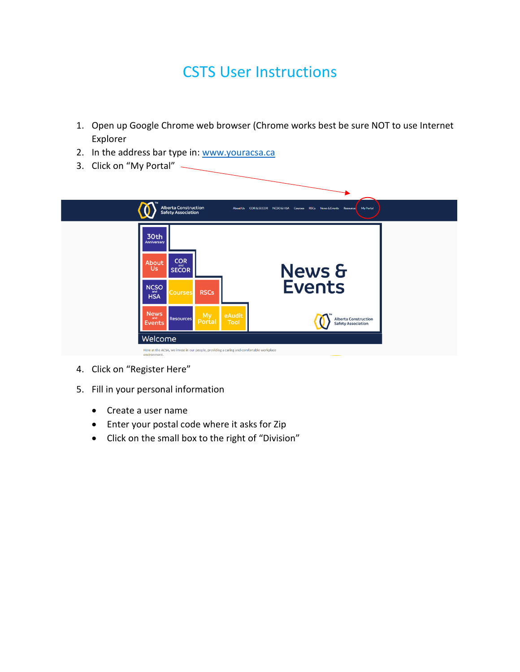## CSTS User Instructions

- 1. Open up Google Chrome web browser (Chrome works best be sure NOT to use Internet Explorer
- 2. In the address bar type in: [www.youracsa.ca](http://www.youracsa.ca/)
- 3. Click on "My Portal"



- 4. Click on "Register Here"
- 5. Fill in your personal information
	- Create a user name
	- Enter your postal code where it asks for Zip
	- Click on the small box to the right of "Division"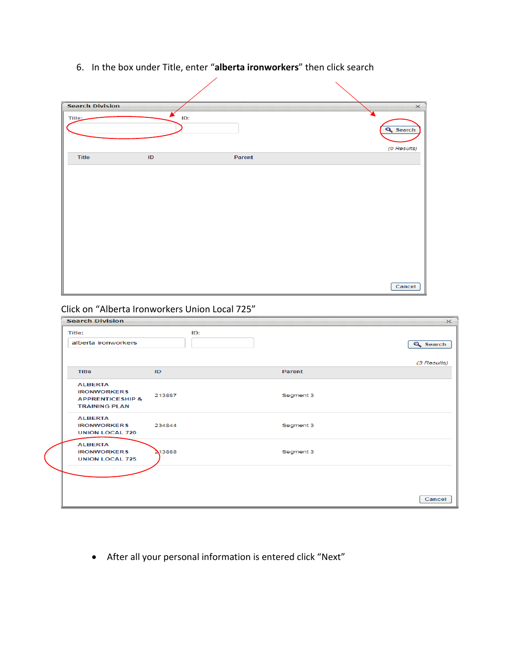6. In the box under Title, enter "**alberta ironworkers**" then click search

| <b>Search Division</b> |               |        | $\times$                       |
|------------------------|---------------|--------|--------------------------------|
| Title:                 | ID:           |        | <b>Q</b> Search<br>(0 Results) |
| <b>Title</b>           | $\mathsf{ID}$ | Parent |                                |
|                        |               |        |                                |
|                        |               |        | Cancel                         |

Click on "Alberta Ironworkers Union Local 725"

| <b>Title:</b>                                                                               | ID:    |           |                 |
|---------------------------------------------------------------------------------------------|--------|-----------|-----------------|
| alberta ironworkers                                                                         |        |           | <b>Q</b> Search |
| <b>Title</b>                                                                                | ID     | Parent    | (3 Results)     |
|                                                                                             |        |           |                 |
| <b>ALBERTA</b><br><b>IRONWORKERS</b><br><b>APPRENTICESHIP &amp;</b><br><b>TRAINING PLAN</b> | 213887 | Segment 3 |                 |
| <b>ALBERTA</b><br><b>IRONWORKERS</b><br><b>UNION LOCAL 720</b>                              | 234844 | Segment 3 |                 |
| <b>ALBERTA</b><br><b>IRONWORKERS</b><br><b>UNION LOCAL 725</b>                              | 213888 | Segment 3 |                 |
|                                                                                             |        |           |                 |
|                                                                                             |        |           | Cancel          |

• After all your personal information is entered click "Next"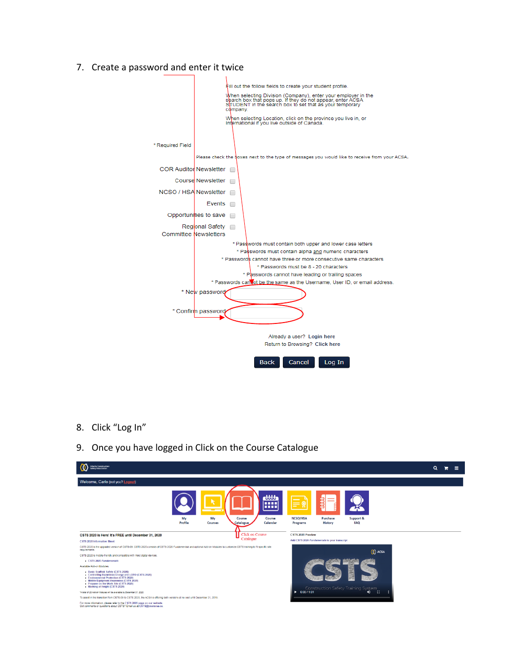7. Create a password and enter it twice



8. Click "Log In"



9. Once you have logged in Click on the Course Catalogue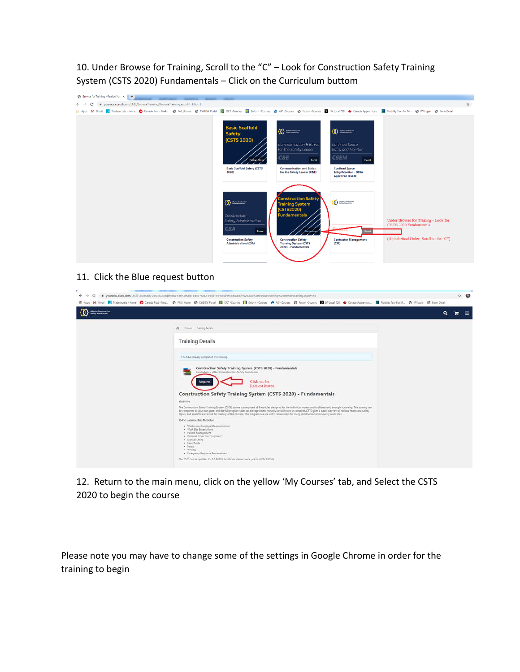10. Under Browse for Training, Scroll to the "C" – Look for Construction Safety Training System (CSTS 2020) Fundamentals – Click on the Curriculum buttom



## 11. Click the Blue request button

| youracsa.csod.com/LMS/LoDetails/Details/Loaspx?ioId=364890bb-b85c-41d2-9b8e-ffc4c6c34f55&back=%2fLM5%2fBrowseTraining%2fBrowseTraining.aspx#t=1<br>c<br>$\leftarrow$ $\rightarrow$                                           | Hi Apps My Gmail My Tradescents Home @ Canada Post-Find. @ FAS Home @ CW81W Portal @ CT-Course B Inform-Courses @ AP-Courses @ Fusion-Courses @ Milcon-Ecurates @ Milcon-T20 @ Canada Apprentice In Mobility Tax-For M @                                                                                                                                                                                                                                                                                   | ☆● |
|------------------------------------------------------------------------------------------------------------------------------------------------------------------------------------------------------------------------------|------------------------------------------------------------------------------------------------------------------------------------------------------------------------------------------------------------------------------------------------------------------------------------------------------------------------------------------------------------------------------------------------------------------------------------------------------------------------------------------------------------|----|
| Alberta Construction<br>Safety Association                                                                                                                                                                                   | Q                                                                                                                                                                                                                                                                                                                                                                                                                                                                                                          | ≡  |
| W Browse Training Details                                                                                                                                                                                                    |                                                                                                                                                                                                                                                                                                                                                                                                                                                                                                            |    |
| <b>Training Details</b>                                                                                                                                                                                                      |                                                                                                                                                                                                                                                                                                                                                                                                                                                                                                            |    |
| You have already completed this training.                                                                                                                                                                                    |                                                                                                                                                                                                                                                                                                                                                                                                                                                                                                            |    |
| Construction Safety Training System (CSTS 2020) - Fundamentals<br>Curriculum - Alberta Construction Safety Association<br><b>Request</b>                                                                                     | Click on the<br><b>Request Button</b>                                                                                                                                                                                                                                                                                                                                                                                                                                                                      |    |
|                                                                                                                                                                                                                              | Construction Safety Training System (CSTS 2020) - Fundamentals                                                                                                                                                                                                                                                                                                                                                                                                                                             |    |
| elaarning                                                                                                                                                                                                                    | The Construction Safety Training System (CSTS) course is comprised of 9 modules designed for the individual worker and is offered only through eLearning. The training can<br>be completed at your own pace, and the full program takes on average ninety minutes to two hours to complete. CSTS gives a basic overview of various health and safety<br>topics, and students are tested for mastery of the content. This program is a pre-entry requirement for many construction and industry work sites. |    |
| CSTS Fundamentals Modules:                                                                                                                                                                                                   |                                                                                                                                                                                                                                                                                                                                                                                                                                                                                                            |    |
| . Worker and Employer Responsibilities<br>· Work Site Expectations<br>· Hazard Management<br>· Personal Protective Equipment<br>. Manual Litting<br>· Hand Tools<br>· Noise<br>· WHINES<br>· Emergency Response Preparedness |                                                                                                                                                                                                                                                                                                                                                                                                                                                                                                            |    |
| The CSTS course qualifies for 0.5 BCRSP Certificate maintenance points. (CPM 10231)                                                                                                                                          |                                                                                                                                                                                                                                                                                                                                                                                                                                                                                                            |    |

12. Return to the main menu, click on the yellow 'My Courses' tab, and Select the CSTS 2020 to begin the course

Please note you may have to change some of the settings in Google Chrome in order for the training to begin